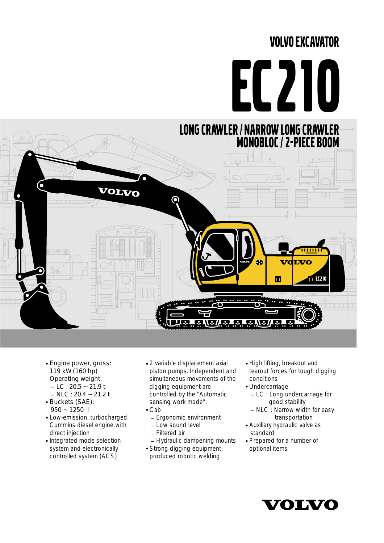# VOLVO EXCAVATOR



- Engine power, gross: 119 kW (160 hp) Operating weight:  $-LC: 20.5 \sim 21.9$  t  $-$  NLC : 20.4  $\sim$  21.2 t
- Buckets (SAE): 950 ~ 1250 l
- Low-emission, turbocharged Cummins diesel engine with direct injection
- Integrated mode selection system and electronically controlled system (ACS)
- 2 variable displacement axial piston pumps. Independent and simultaneous movements of the digging equipment are controlled by the "Automatic sensing work mode".
- Cab
	- Ergonomic environment
	- Low sound level
	- \_ Filtered air
- Hydraulic dampening mounts Strong digging equipment,
- produced robotic welding
- High lifting, breakout and tearout forces for tough digging conditions
- Undercarriage
	- LC : Long undercarriage for<br>good stability
	- $-$  NLC  $\colon$  Narrow width for easy transportation
- Auxiliary hydraulic valve as standard
- Prepared for a number of optional items

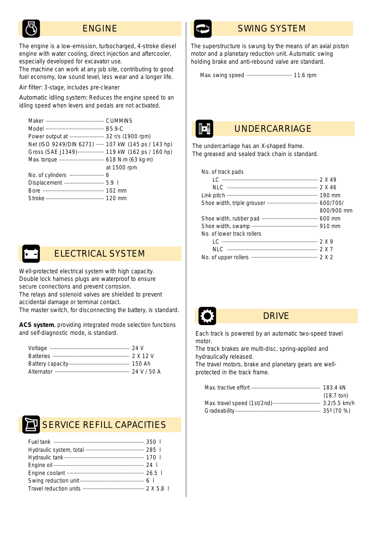# ENGINE

*The engine is a low-emission, turbocharged, 4-stroke diesel engine with water cooling, direct injection and aftercooler, especially developed for excavator use.* 

*The machine can work at any job site, contributing to good fuel economy, low sound level, less wear and a longer life.*

Air filter: 3-stage, includes pre-cleaner

Automatic idling system: Reduces the engine speed to an idling speed when levers and pedals are not activated.

| Power output at  32 r/s (1900 rpm)                |             |
|---------------------------------------------------|-------------|
| Net (ISO 9249/DIN 6271)  107 kW (145 ps / 143 hp) |             |
| Gross (SAE J1349)  119 kW (162 ps / 160 hp)       |             |
|                                                   |             |
|                                                   | at 1500 rpm |
|                                                   |             |
|                                                   |             |
|                                                   |             |
|                                                   |             |



*Well-protected electrical system with high capacity. Double lock harness plugs are waterproof to ensure secure connections and prevent corrosion. The relays and solenoid valves are shielded to prevent accidental damage or terminal contact. The master switch, for disconnecting the battery, is standard.*

**ACS system**, providing integrated mode selection functions and self-diagnostic mode, is standard.



# SERVICE REFILL CAPACITIES



# SWING SYSTEM

*The superstructure is swung by the means of an axial piston motor and a planetary reduction unit. Automatic swing holding brake and anti-rebound valve are standard.* 

Max. swing speed .................................. 11.6 rpm

# UNDERCARRIAGE

*The undercarriage has an X-shaped frame. The greased and sealed track chain is standard.*

| No. of track pads          |            |
|----------------------------|------------|
|                            |            |
|                            |            |
|                            |            |
|                            |            |
|                            | 800/900 mm |
|                            |            |
|                            |            |
| No. of lower track rollers |            |
|                            |            |





# DRIVE

*Each track is powered by an automatic two-speed travel motor.* 

*The track brakes are multi-disc, spring-applied and hydraulically released.*

*The travel motors, brake and planetary gears are wellprotected in the track frame.*

| $(18.7 \text{ ton})$ |
|----------------------|
|                      |
|                      |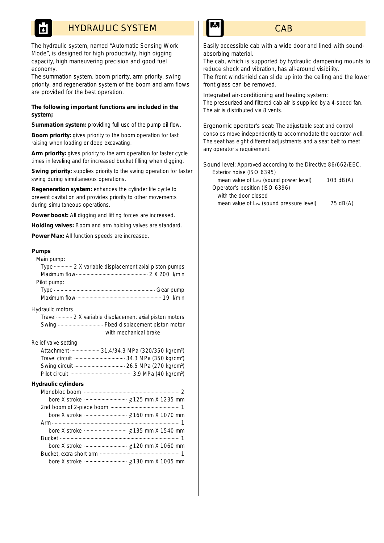# HYDRAULIC SYSTEM

*The hydraulic system, named "Automatic Sensing Work Mode", is designed for high productivity, high digging capacity, high maneuvering precision and good fuel economy.* 

*The summation system, boom priority, arm priority, swing priority, and regeneration system of the boom and arm flows are provided for the best operation.*

#### **The following important functions are included in the system;**

Summation system: providing full use of the pump oil flow.

**Boom priority:** gives priority to the boom operation for fast raising when loading or deep excavating.

Arm priority: gives priority to the arm operation for faster cycle times in leveling and for increased bucket filling when digging.

**Swing priority:** supplies priority to the swing operation for faster swing during simultaneous operations.

**Regeneration system:** enhances the cylinder life cycle to prevent cavitation and provides priority to other movements during simultaneous operations.

**Power boost:** All digging and lifting forces are increased.

**Holding valves:** Boom and arm holding valves are standard.

**Power Max:** All function speeds are increased.

#### **Pumps**



**CAB** 

*Easily accessible cab with a wide door and lined with soundabsorbing material.*

*The cab, which is supported by hydraulic dampening mounts to reduce shock and vibration, has all-around visibility. The front windshield can slide up into the ceiling and the lower front glass can be removed.*

Integrated air-conditioning and heating system:

The pressurized and filtered cab air is supplied by a 4-speed fan. The air is distributed via 8 vents.

Ergonomic operator's seat: The adjustable seat and control consoles move independently to accommodate the operator well. The seat has eight different adjustments and a seat belt to meet any operator's requirement.

Sound level: Approved according to the Directive 86/662/EEC. Exterior noise (ISO 6395) mean value of L<sub>WA</sub> (sound power level) 103 dB(A) Operator's position (ISO 6396) with the door closed mean value of  $L_{PA}$  (sound pressure level)  $75$  dB(A)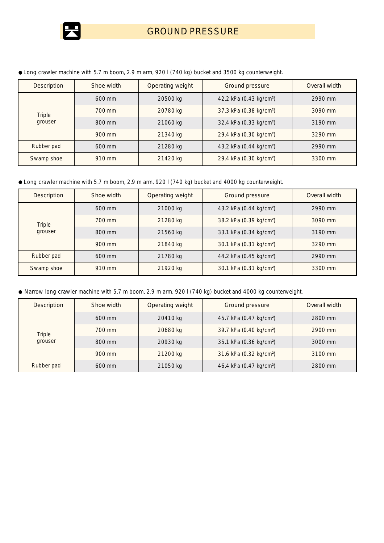

| <b>Description</b> | Shoe width | Operating weight | Ground pressure                     | Overall width |
|--------------------|------------|------------------|-------------------------------------|---------------|
|                    | 600 mm     | 20500 kg         | 42.2 kPa (0.43 kg/cm <sup>2</sup> ) | 2990 mm       |
| <b>Triple</b>      | 700 mm     | 20780 kg         | 37.3 kPa (0.38 kg/cm <sup>2</sup> ) | 3090 mm       |
| grouser            | 800 mm     | 21060 kg         | 32.4 kPa (0.33 kg/cm <sup>2</sup> ) | 3190 mm       |
|                    | 900 mm     | 21340 kg         | 29.4 kPa (0.30 kg/cm <sup>2</sup> ) | 3290 mm       |
| Rubber pad         | 600 mm     | 21280 kg         | 43.2 kPa (0.44 kg/cm <sup>2</sup> ) | 2990 mm       |
| Swamp shoe         | 910 mm     | 21420 kg         | 29.4 kPa (0.30 kg/cm <sup>2</sup> ) | 3300 mm       |

*Long crawler machine with 5.7 m boom, 2.9 m arm, 920 l (740 kg) bucket and 3500 kg counterweight.*

*Long crawler machine with 5.7 m boom, 2.9 m arm, 920 l (740 kg) bucket and 4000 kg counterweight.*

| <b>Description</b> | Shoe width | Operating weight<br>Ground pressure |                                     | Overall width |
|--------------------|------------|-------------------------------------|-------------------------------------|---------------|
|                    | $600$ mm   | 21000 kg                            | 43.2 kPa (0.44 kg/cm <sup>2</sup> ) |               |
| Triple             | 700 mm     | 21280 kg                            | 38.2 kPa (0.39 kg/cm <sup>2</sup> ) | 3090 mm       |
| grouser            | 800 mm     | 21560 kg                            | 33.1 kPa (0.34 kg/cm <sup>2</sup> ) | 3190 mm       |
|                    | 900 mm     | 21840 kg                            | 30.1 kPa (0.31 kg/cm <sup>2</sup> ) | 3290 mm       |
| Rubber pad         | $600$ mm   | 21780 kg                            | 44.2 kPa (0.45 kg/cm <sup>2</sup> ) | 2990 mm       |
| Swamp shoe         | 910 mm     | 21920 kg                            | 30.1 kPa (0.31 kg/cm <sup>2</sup> ) | 3300 mm       |

*Narrow long crawler machine with 5.7 m boom, 2.9 m arm, 920 l (740 kg) bucket and 4000 kg counterweight.*

| <b>Description</b>       | Shoe width | Operating weight                                | Ground pressure                     | Overall width |
|--------------------------|------------|-------------------------------------------------|-------------------------------------|---------------|
| <b>Triple</b><br>grouser | 600 mm     | 20410 kg                                        | 45.7 kPa (0.47 kg/cm <sup>2</sup> ) |               |
|                          | 700 mm     | 39.7 kPa (0.40 kg/cm <sup>2</sup> )<br>20680 kg |                                     | 2900 mm       |
|                          | 800 mm     | 20930 kg                                        | 35.1 kPa (0.36 kg/cm <sup>2</sup> ) | 3000 mm       |
|                          | 900 mm     | 21200 kg                                        | 31.6 kPa (0.32 kg/cm <sup>2</sup> ) | 3100 mm       |
| Rubber pad               | 600 mm     | 21050 kg                                        | 46.4 kPa (0.47 kg/cm <sup>2</sup> ) | 2800 mm       |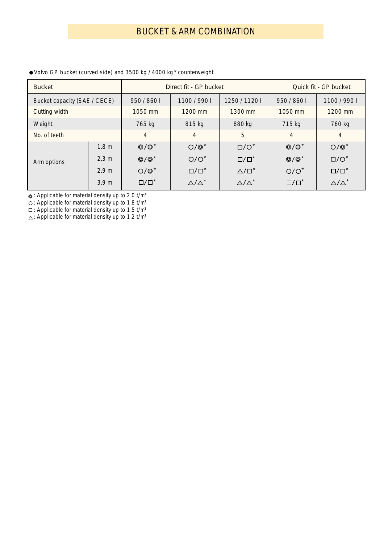| <b>Bucket</b> |                              |                 | Direct fit - GP bucket                   |                         | Quick fit - GP bucket |                         |
|---------------|------------------------------|-----------------|------------------------------------------|-------------------------|-----------------------|-------------------------|
|               | Bucket capacity (SAE / CECE) |                 | 950 / 860 l<br>1100 / 990 l<br>1250/1120 |                         |                       | 1100 / 990 l            |
| Cutting width |                              | 1050 mm         | 1200 mm                                  | 1300 mm                 | 1050 mm               | 1200 mm                 |
| Weight        |                              | 765 kg          | 815 kg                                   | 880 kg                  | 715 kg                | 760 kg                  |
| No. of teeth  |                              | $\overline{4}$  | $\overline{4}$                           | 5                       | 4                     | $\overline{4}$          |
|               | 1.8 <sub>m</sub>             | $@/@*$          | $O/O^*$                                  | $\square/O^*$           | $Q/Q^*$               | $O/O^*$                 |
| Arm options   | 2.3 m                        | $@/@*$          | $O/O^*$                                  | $\Box / \Box^*$         | $@/@*$                | $\square/O^*$           |
|               | 2.9 <sub>m</sub>             | $O/O^*$         | $\square/\square^*$                      | $\triangle/\square^*$   | $O/O^*$               | $\Box / \Box^*$         |
|               | 3.9 <sub>m</sub>             | $\Box / \Box^*$ | $\triangle/\triangle^*$                  | $\triangle/\triangle^*$ | $\square/\square^*$   | $\triangle/\triangle^*$ |

*Volvo GP bucket (curved side) and 3500 kg / 4000 kg \* counterweight.*

: Applicable for material density up to 2.0 t/m**<sup>3</sup>**

: Applicable for material density up to 1.8 t/m**<sup>3</sup>**

: Applicable for material density up to 1.5 t/m**<sup>3</sup>**

: Applicable for material density up to 1.2 t/m**3**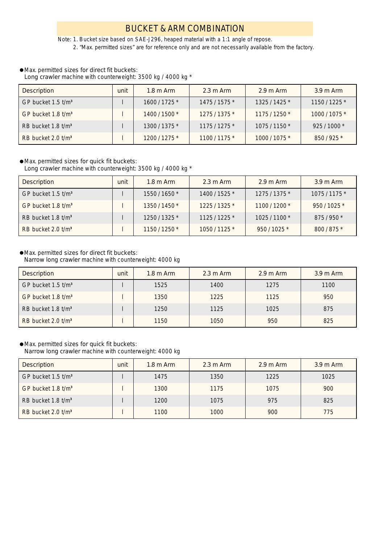# BUCKET & ARM COMBINATION

*Note: 1. Bucket size based on SAE-J296, heaped material with a 1:1 angle of repose. 2. "Max. permitted sizes" are for reference only and are not necessarily available from the factory.*

#### Max. permitted sizes for direct fit buckets:

Long crawler machine with counterweight: 3500 kg / 4000 kg \*

| <b>Description</b>               | unit | $1.8 \text{ m}$ Arm | $2.3 \text{ m}$ Arm | $2.9 \text{ m A}$ rm | $3.9 \text{ m}$ Arm |
|----------------------------------|------|---------------------|---------------------|----------------------|---------------------|
| GP bucket $1.5$ t/m <sup>3</sup> |      | 1600 / 1725 *       | 1475 / 1575 *       | $1325/1425$ *        | $1150/1225$ *       |
| GP bucket $1.8$ t/m <sup>3</sup> |      | 1400 / 1500 *       | 1275/1375*          | $1175/1250*$         | 1000/1075*          |
| RB bucket $1.8$ t/m <sup>3</sup> |      | 1300/1375*          | $1175/1275*$        | $1075/1150*$         | $925/1000*$         |
| RB bucket $2.0$ t/m <sup>3</sup> |      | $1200/1275*$        | 1100/1175*          | 1000/1075*           | 850/925*            |

#### Max. permitted sizes for quick fit buckets:

Long crawler machine with counterweight: 3500 kg / 4000 kg \*

| <b>Description</b>               | unit | $1.8 \text{ m}$ Arm | $2.3 \text{ m}$ Arm | $2.9 \text{ m}$ Arm | $3.9 \text{ m}$ Arm |
|----------------------------------|------|---------------------|---------------------|---------------------|---------------------|
| GP bucket 1.5 t/m <sup>3</sup>   |      | 1550 / 1650 *       | 1400 / 1525 *       | $1275/1375*$        | 1075 / 1175 *       |
| GP bucket 1.8 t/m <sup>3</sup>   |      | 1350/1450*          | 1225/1325*          | 1100/1200*          | 950/1025*           |
| RB bucket $1.8$ t/m <sup>3</sup> |      | 1250/1325*          | $1125/1225*$        | $1025/1100*$        | 875/950*            |
| RB bucket $2.0$ t/m <sup>3</sup> |      | 1150 / 1250 *       | 1050/1125*          | 950 / 1025 *        | 800/875*            |

## Max. permitted sizes for direct fit buckets:

Narrow long crawler machine with counterweight: 4000 kg

| <b>Description</b>               | unit | $1.8 \text{ m}$ Arm | $2.3 \text{ m}$ Arm | $2.9 \text{ m}$ Arm | $3.9 \text{ m}$ Arm |
|----------------------------------|------|---------------------|---------------------|---------------------|---------------------|
| GP bucket 1.5 t/m <sup>3</sup>   |      | 1525                | 1400                | 1275                | 1100                |
| GP bucket $1.8$ t/m <sup>3</sup> |      | 1350                | 1225                | 1125                | 950                 |
| RB bucket 1.8 t/m <sup>3</sup>   |      | 1250                | 1125                | 1025                | 875                 |
| RB bucket 2.0 t/m <sup>3</sup>   |      | 1150                | 1050                | 950                 | 825                 |

### Max. permitted sizes for quick fit buckets:

Narrow long crawler machine with counterweight: 4000 kg

| Description                                   | unit | $1.8 \text{ m}$ Arm | $2.3 \text{ m}$ Arm | $2.9 \text{ m A}$ rm | $3.9 \text{ m}$ Arm |
|-----------------------------------------------|------|---------------------|---------------------|----------------------|---------------------|
| $\overline{S}$ GP bucket 1.5 t/m <sup>3</sup> |      | 1475                | 1350                | 1225                 | 1025                |
| $\overline{G}P$ bucket 1.8 t/m <sup>3</sup>   |      | 1300                | 1175                | 1075                 | 900                 |
| RB bucket $1.8$ t/m <sup>3</sup>              |      | 1200                | 1075                | 975                  | 825                 |
| RB bucket $2.0$ t/m <sup>3</sup>              |      | 1100                | 1000                | 900                  | 775                 |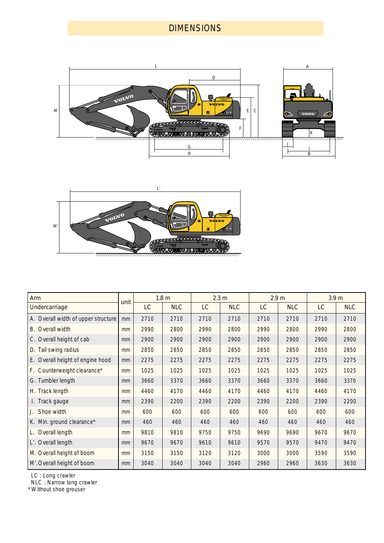# DIMENSIONS





| Arm                                 | unit |      | 1.8 <sub>m</sub> |      | 2.3 <sub>m</sub> | 2.9 <sub>m</sub> |            | 3.9 <sub>m</sub> |            |  |
|-------------------------------------|------|------|------------------|------|------------------|------------------|------------|------------------|------------|--|
| Undercarriage                       |      | LC   | <b>NLC</b>       | LC   | <b>NLC</b>       | LC               | <b>NLC</b> | LC               | <b>NLC</b> |  |
| A. Overall width of upper structure | mm   | 2710 | 2710             | 2710 | 2710             | 2710             | 2710       | 2710             | 2710       |  |
| <b>B.</b> Overall width             | mm   | 2990 | 2800             | 2990 | 2800             | 2990             | 2800       | 2990             | 2800       |  |
| C. Overall height of cab            | mm   | 2900 | 2900             | 2900 | 2900             | 2900             | 2900       | 2900             | 2900       |  |
| D. Tail swing radius                | mm   | 2850 | 2850             | 2850 | 2850             | 2850             | 2850       | 2850             | 2850       |  |
| E. Overall height of engine hood    | mm   | 2275 | 2275             | 2275 | 2275             | 2275             | 2275       | 2275             | 2275       |  |
| F. Counterweight clearance*         | mm   | 1025 | 1025             | 1025 | 1025             | 1025             | 1025       | 1025             | 1025       |  |
| G. Tumbler length                   | mm   | 3660 | 3370             | 3660 | 3370             | 3660             | 3370       | 3660             | 3370       |  |
| H. Track length                     | mm   | 4460 | 4170             | 4460 | 4170             | 4460             | 4170       | 4460             | 4170       |  |
| I. Track gauge                      | mm   | 2390 | 2200             | 2390 | 2200             | 2390             | 2200       | 2390             | 2200       |  |
| Shoe width                          | mm   | 600  | 600              | 600  | 600              | 600              | 600        | 600              | 600        |  |
| K. Min. ground clearance*           | mm   | 460  | 460              | 460  | 460              | 460              | 460        | 460              | 460        |  |
| L. Overall length                   | mm   | 9810 | 9810             | 9750 | 9750             | 9690             | 9690       | 9670             | 9670       |  |
| L'. Overall length                  | mm   | 9670 | 9670             | 9610 | 9610             | 9570             | 9570       | 9470             | 9470       |  |
| M. Overall height of boom           | mm   | 3150 | 3150             | 3120 | 3120             | 3000             | 3000       | 3590             | 3590       |  |
| M'. Overall height of boom          | mm   | 3040 | 3040             | 3040 | 3040             | 2960             | 2960       | 3630             | 3630       |  |

LC : Long crawler

NLC : Narrow long crawler

\* Without shoe grouser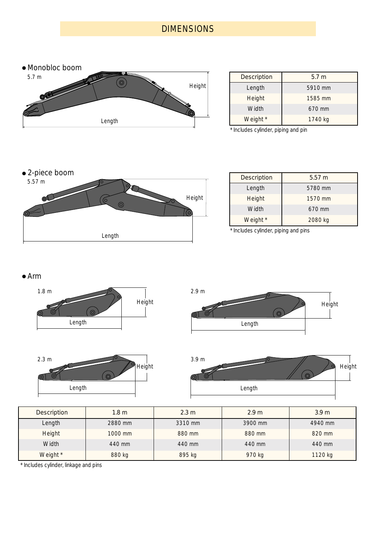# **DIMENSIONS**



| <b>Description</b> | 5.7 <sub>m</sub> |
|--------------------|------------------|
| Length             | 5910 mm          |
| Height             | 1585 mm          |
| Width              | 670 mm           |
| Weight *           | 1740 kg          |

\* Includes cylinder, piping and pin



| <b>Description</b> | $5.57 \; m$ |
|--------------------|-------------|
| Length             | 5780 mm     |
| Height             | 1570 mm     |
| Width              | 670 mm      |
| Weight *           | 2080 kg     |

\* Includes cylinder, piping and pins

## Arm









| Description | 1.8 <sub>m</sub> | 2.3 m   | 2.9 <sub>m</sub> | 3.9 <sub>m</sub> |
|-------------|------------------|---------|------------------|------------------|
| Length      | 2880 mm          | 3310 mm | 3900 mm          | 4940 mm          |
| Height      | 1000 mm          | 880 mm  | 880 mm           | 820 mm           |
| Width       | 440 mm           | 440 mm  | 440 mm           | 440 mm           |
| Weight *    | 880 kg           | 895 kg  | 970 kg           | 1120 kg          |

\* Includes cylinder, linkage and pins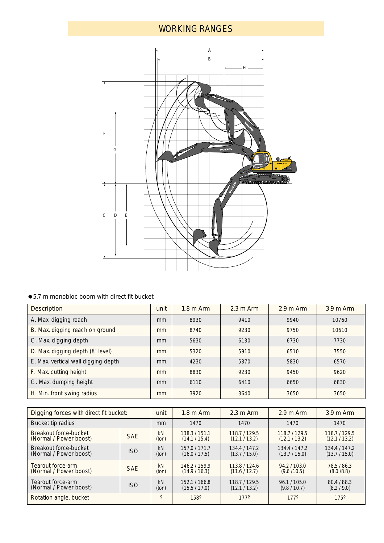# WORKING RANGES



## ● 5.7 m monobloc boom with direct fit bucket

| <b>Description</b>                  |    | $1.8 \text{ m}$ Arm | $2.3 \text{ m}$ Arm | $2.9 \text{ m Arm}$ | $3.9m$ Arm |
|-------------------------------------|----|---------------------|---------------------|---------------------|------------|
| A. Max. digging reach               | mm | 8930                | 9410                | 9940                | 10760      |
| B. Max. digging reach on ground     | mm | 8740                | 9230                | 9750                | 10610      |
| C. Max. digging depth               | mm | 5630                | 6130                | 6730                | 7730       |
| D. Max. digging depth (8' level)    | mm | 5320<br>5910        |                     | 6510                | 7550       |
| E. Max. vertical wall digging depth | mm | 4230                | 5370                | 5830                | 6570       |
| F. Max. cutting height              | mm | 8830                | 9230                | 9450                | 9620       |
| G. Max. dumping height              | mm | 6110                | 6410                | 6650                | 6830       |
| H. Min. front swing radius          | mm | 3920                | 3640                | 3650                | 3650       |

| Digging forces with direct fit bucket:                    |            |             | $2.3 \text{ m}$ Arm<br>$1.8 \text{ m}$ Arm |                              | $2.9 \text{ m}$ Arm          | $3.9 \text{ m}$ Arm          |  |
|-----------------------------------------------------------|------------|-------------|--------------------------------------------|------------------------------|------------------------------|------------------------------|--|
| Bucket tip radius                                         |            |             | 1470                                       | 1470                         | 1470                         | 1470                         |  |
| Breakout force-bucket<br>(Normal / Power boost)           | <b>SAE</b> | kN<br>(ton) | 138.3/151.1<br>(14.1 / 15.4)               | 118.7/129.5<br>(12.1 / 13.2) | 118.7/129.5<br>(12.1 / 13.2) | 118.7/129.5<br>(12.1 / 13.2) |  |
| Breakout force-bucket<br>(Normal / Power boost)           | <b>ISO</b> | kN<br>(ton) | 157.0/171.7<br>(16.0 / 17.5)               | 134.4/147.2<br>(13.7 / 15.0) | 134.4/147.2<br>(13.7 / 15.0) | 134.4/147.2<br>(13.7 / 15.0) |  |
| Tearout force-arm<br>(Normal / Power boost)               | <b>SAE</b> | kN<br>(ton) | 146.2/159.9<br>(14.9 / 16.3)               | 113.8/124.6<br>(11.6 / 12.7) | 94.2/103.0<br>(9.6/10.5)     | 78.5/86.3<br>(8.0/8.8)       |  |
| Tearout force-arm<br><b>ISO</b><br>(Normal / Power boost) |            | kN<br>(ton) | 152.1/166.8<br>(15.5 / 17.0)               | 118.7/129.5<br>(12.1 / 13.2) | 96.1 / 105.0<br>(9.8 / 10.7) | 80.4 / 88.3<br>(8.2 / 9.0)   |  |
| Rotation angle, bucket                                    |            | $\Omega$    | $158^\circ$                                | $177^{\circ}$                | $177^{\circ}$                | $175^\circ$                  |  |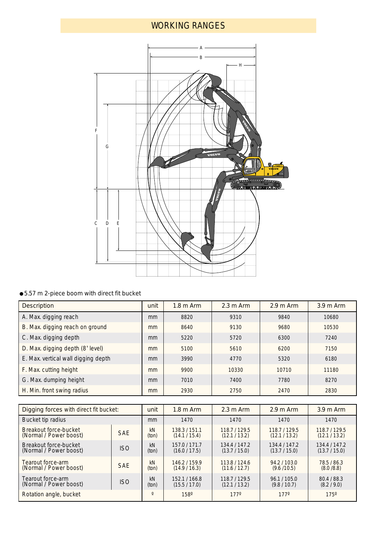# WORKING RANGES



## ● 5.57 m 2-piece boom with direct fit bucket

| <b>Description</b>                  |    | $1.8 \text{ m}$ Arm  | $2.3 \text{ m}$ Arm | $2.9 \text{ m Arm}$ | $3.9 \text{ m}$ Arm |  |
|-------------------------------------|----|----------------------|---------------------|---------------------|---------------------|--|
| A. Max. digging reach               | mm | 8820                 | 9310                | 9840                | 10680               |  |
| B. Max. digging reach on ground     | mm | 8640<br>9130<br>9680 |                     |                     | 10530               |  |
| C. Max. digging depth               | mm | 5220                 | 5720                | 6300                | 7240                |  |
| D. Max. digging depth (8' level)    | mm | 5100                 | 5610<br>6200        |                     | 7150                |  |
| E. Max. vertical wall digging depth | mm | 3990                 | 4770                | 5320                | 6180                |  |
| F. Max. cutting height              | mm | 9900                 | 10330               | 10710               | 11180               |  |
| G. Max. dumping height              | mm | 7010<br>7400         |                     | 7780                | 8270                |  |
| H. Min. front swing radius          |    | 2930                 | 2750                | 2470                | 2830                |  |

| Digging forces with direct fit bucket: |            |          | $1.8 \text{ m}$ Arm | $2.3 \text{ m Arm}$ | $2.9 \text{ m A}$ rm | $3.9 \text{ m}$ Arm |
|----------------------------------------|------------|----------|---------------------|---------------------|----------------------|---------------------|
| Bucket tip radius                      |            | mm       | 1470                | 1470                | 1470                 | 1470                |
| Breakout force-bucket                  | <b>SAE</b> | kN       | 138.3/151.1         | 118.7/129.5         | 118.7/129.5          | 118.7/129.5         |
| (Normal / Power boost)                 |            | (ton)    | (14.1 / 15.4)       | (12.1 / 13.2)       | (12.1 / 13.2)        | (12.1 / 13.2)       |
| Breakout force-bucket                  | <b>ISO</b> | kN       | 157.0/171.7         | 134.4 / 147.2       | 134.4/147.2          | 134.4 / 147.2       |
| (Normal / Power boost)                 |            | (ton)    | (16.0 / 17.5)       | (13.7 / 15.0)       | (13.7 / 15.0)        | (13.7 / 15.0)       |
| Tearout force-arm                      | <b>SAE</b> | kN       | 146.2/159.9         | 113.8/124.6         | 94.2/103.0           | 78.5/86.3           |
| (Normal / Power boost)                 |            | (ton)    | (14.9/16.3)         | (11.6 / 12.7)       | (9.6/10.5)           | (8.0/8.8)           |
| Tearout force-arm                      | <b>ISO</b> | kN       | 152.1/166.8         | 118.7/129.5         | 96.1/105.0           | 80.4 / 88.3         |
| (Normal / Power boost)                 |            | (ton)    | (15.5 / 17.0)       | (12.1 / 13.2)       | (9.8 / 10.7)         | (8.2 / 9.0)         |
| Rotation angle, bucket                 |            | $\Omega$ | $158^\circ$         | $177^{\circ}$       | $177^{\circ}$        | $175^\circ$         |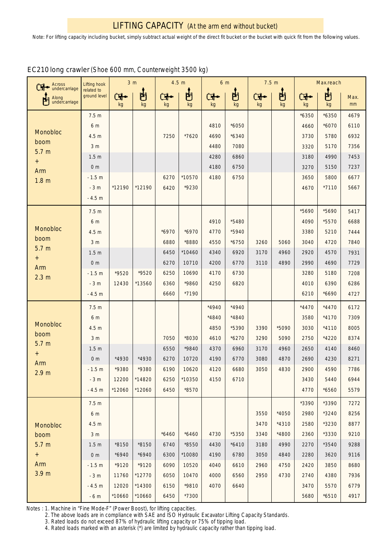| Across<br>Ӌ•             | Lifting hook               |         | 3 <sub>m</sub> | 4.5 m   |          | 6 m   |         | 7.5 m |         |         | Max.reach |      |
|--------------------------|----------------------------|---------|----------------|---------|----------|-------|---------|-------|---------|---------|-----------|------|
| undercarriage<br>Along   | related to<br>ground level | Œ       | 問              | ٣       | ப்       | ⊶ا⊡   | 問       | F     | 的       | F       | 凷         | Max. |
| ۳<br>undercarriage       |                            | kg      | kg             | kg      | kg       | kg    | kg      | kg    | kg      | kg      | kg        | mm   |
|                          | 7.5 <sub>m</sub>           |         |                |         |          |       |         |       |         | $*6350$ | $*6350$   | 4679 |
|                          | 6 m                        |         |                |         |          | 4810  | $*6050$ |       |         | 4660    | $*6070$   | 6110 |
| <b>Monobloc</b><br>boom  | 4.5 <sub>m</sub>           |         |                | 7250    | *7620    | 4690  | $*6340$ |       |         | 3730    | 5780      | 6932 |
| 5.7 <sub>m</sub>         | 3 <sub>m</sub>             |         |                |         |          | 4480  | 7080    |       |         | 3320    | 5170      | 7356 |
| $^{+}$                   | 1.5 <sub>m</sub>           |         |                |         |          | 4280  | 6860    |       |         | 3180    | 4990      | 7453 |
| Arm                      | 0 <sub>m</sub>             |         |                |         |          | 4180  | 6750    |       |         | 3270    | 5150      | 7237 |
| 1.8 <sub>m</sub>         | $-1.5 m$                   |         |                | 6270    | *10570   | 4180  | 6750    |       |         | 3650    | 5800      | 6677 |
|                          | $-3m$                      | *12190  | *12190         | 6420    | *9230    |       |         |       |         | 4670    | $*7110$   | 5667 |
|                          | $-4.5 m$                   |         |                |         |          |       |         |       |         |         |           |      |
|                          | 7.5 <sub>m</sub>           |         |                |         |          |       |         |       |         | *5690   | *5690     | 5417 |
| Monobloc                 | 6 m                        |         |                |         |          | 4910  | *5480   |       |         | 4090    | *5570     | 6688 |
| boom                     | 4.5 m                      |         |                | $*6970$ | $*6970$  | 4770  | *5940   |       |         | 3380    | 5210      | 7444 |
| 5.7 <sub>m</sub>         | 3 <sub>m</sub>             |         |                | 6880    | *8880    | 4550  | $*6750$ | 3260  | 5060    | 3040    | 4720      | 7840 |
| $^{+}$                   | 1.5 <sub>m</sub>           |         |                | 6450    | $*10460$ | 4340  | 6920    | 3170  | 4960    | 2920    | 4570      | 7931 |
| Arm                      | 0 <sub>m</sub>             |         |                | 6270    | 10710    | 4200  | 6770    | 3110  | 4890    | 2990    | 4690      | 7729 |
| 2.3 <sub>m</sub>         | $-1.5 m$                   | *9520   | *9520          | 6250    | 10690    | 4170  | 6730    |       |         | 3280    | 5180      | 7208 |
|                          | $-3m$                      | 12430   | *13560         | 6360    | *9860    | 4250  | 6820    |       |         | 4010    | 6390      | 6286 |
|                          | $-4.5 m$                   |         |                | 6660    | *7190    |       |         |       |         | 6210    | *6690     | 4727 |
|                          | 7.5 <sub>m</sub>           |         |                |         |          | *4940 | $*4940$ |       |         | $*4470$ | $*4470$   | 6172 |
|                          | 6 m                        |         |                |         |          | *4840 | *4840   |       |         | 3580    | $*4170$   | 7309 |
| Monobloc                 | 4.5 <sub>m</sub>           |         |                |         |          | 4850  | *5390   | 3390  | *5090   | 3030    | $*4110$   | 8005 |
| boom<br>5.7 <sub>m</sub> | 3 <sub>m</sub>             |         |                | 7050    | *8030    | 4610  | $*6270$ | 3290  | 5090    | 2750    | *4220     | 8374 |
| $^{+}$                   | 1.5 <sub>m</sub>           |         |                | 6550    | *9840    | 4370  | 6960    | 3170  | 4960    | 2650    | 4140      | 8460 |
| Arm                      | 0 <sub>m</sub>             | *4930   | *4930          | 6270    | 10720    | 4190  | 6770    | 3080  | 4870    | 2690    | 4230      | 8271 |
| 2.9 <sub>m</sub>         | $-1.5 m$                   | *9380   | *9380          | 6190    | 10620    | 4120  | 6680    | 3050  | 4830    | 2900    | 4590      | 7786 |
|                          | $-3m$                      | 12200   | *14820         | 6250    | $*10350$ | 4150  | 6710    |       |         | 3430    | 5440      | 6944 |
|                          | $-4.5 m$                   | *12060  | *12060         | 6450    | *8570    |       |         |       |         | 4770    | *6560     | 5579 |
|                          | 7.5 <sub>m</sub>           |         |                |         |          |       |         |       |         | *3390   | *3390     | 7272 |
|                          | 6 m                        |         |                |         |          |       |         | 3550  | $*4050$ | 2980    | *3240     | 8256 |
| Monobloc                 | 4.5 <sub>m</sub>           |         |                |         |          |       |         | 3470  | $*4310$ | 2580    | *3230     | 8877 |
| boom                     | 3 <sub>m</sub>             |         |                | $*6460$ | $*6460$  | 4730  | *5350   | 3340  | *4800   | 2360    | *3330     | 9210 |
| 5.7 <sub>m</sub>         | 1.5 <sub>m</sub>           | *8150   | *8150          | 6740    | *8550    | 4430  | $*6410$ | 3180  | 4990    | 2270    | *3540     | 9288 |
| $+$                      | 0 <sub>m</sub>             | $*6940$ | $*6940$        | 6300    | *10080   | 4190  | 6780    | 3050  | 4840    | 2280    | 3620      | 9116 |
| Arm                      | $-1.5 m$                   | *9120   | $*9120$        | 6090    | 10520    | 4040  | 6610    | 2960  | 4750    | 2420    | 3850      | 8680 |
| 3.9 <sub>m</sub>         | $-3m$                      | 11760   | *12770         | 6050    | 10470    | 4000  | 6560    | 2950  | 4730    | 2740    | 4380      | 7936 |
|                          | $-4.5 m$                   | 12020   | *14300         | 6150    | *9810    | 4070  | 6640    |       |         | 3470    | 5570      | 6779 |
|                          | $-6m$                      | *10660  | *10660         | 6450    | *7300    |       |         |       |         | 5680    | $*6510$   | 4917 |

## EC210 long crawler (Shoe 600 mm, Counterweight 3500 kg)

Notes : 1. Machine in "Fine Mode-F" (Power Boost), for lifting capacities.

2. The above loads are in compliance with SAE and ISO Hydraulic Excavator Lifting Capacity Standards.

3. Rated loads do not exceed 87% of hydraulic lifting capacity or 75% of tipping load.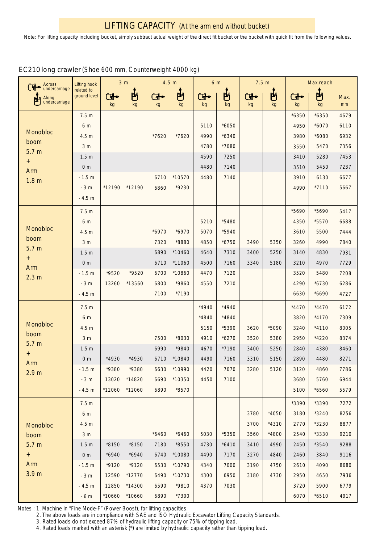| Across                                       | <b>Lifting hook</b>        | 3 <sub>m</sub> |         |         | 4.5 m   | 6 m     |         | 7.5 <sub>m</sub>      |         |         | Max.reach |            |
|----------------------------------------------|----------------------------|----------------|---------|---------|---------|---------|---------|-----------------------|---------|---------|-----------|------------|
| undercarriage<br>Along<br>門<br>undercarriage | related to<br>ground level | Ċi<br>kg       | 問<br>kg | F<br>kg | 問<br>kg | 보<br>kg | 的<br>kg | <del>҇╉</del> ╸<br>kg | 問<br>kg | F<br>kg | 甴<br>kg   | Max.<br>mm |
|                                              | 7.5 <sub>m</sub>           |                |         |         |         |         |         |                       |         | $*6350$ | $*6350$   | 4679       |
|                                              | 6 m                        |                |         |         |         | 5110    | $*6050$ |                       |         | 4950    | $*6070$   | 6110       |
| Monobloc                                     | 4.5 <sub>m</sub>           |                |         | *7620   | *7620   | 4990    | $*6340$ |                       |         | 3980    | *6080     | 6932       |
| boom                                         | 3 <sub>m</sub>             |                |         |         |         | 4780    | *7080   |                       |         | 3550    | 5470      | 7356       |
| 5.7 <sub>m</sub>                             | 1.5 <sub>m</sub>           |                |         |         |         | 4590    | 7250    |                       |         | 3410    | 5280      | 7453       |
| $^{+}$<br>Arm                                | 0 <sub>m</sub>             |                |         |         |         | 4480    | 7140    |                       |         | 3510    | 5450      | 7237       |
| 1.8 <sub>m</sub>                             | $-1.5 m$                   |                |         | 6710    | *10570  | 4480    | 7140    |                       |         | 3910    | 6130      | 6677       |
|                                              | $-3m$                      | *12190         | *12190  | 6860    | *9230   |         |         |                       |         | 4990    | $*7110$   | 5667       |
|                                              | $-4.5 m$                   |                |         |         |         |         |         |                       |         |         |           |            |
|                                              | 7.5 <sub>m</sub>           |                |         |         |         |         |         |                       |         | *5690   | *5690     | 5417       |
| Monobloc                                     | 6 m                        |                |         |         |         | 5210    | *5480   |                       |         | 4350    | *5570     | 6688       |
| boom                                         | 4.5 <sub>m</sub>           |                |         | $*6970$ | $*6970$ | 5070    | *5940   |                       |         | 3610    | 5500      | 7444       |
| 5.7 <sub>m</sub>                             | 3 <sub>m</sub>             |                |         | 7320    | *8880   | 4850    | $*6750$ | 3490                  | 5350    | 3260    | 4990      | 7840       |
| $^{+}$                                       | 1.5 <sub>m</sub>           |                |         | 6890    | *10460  | 4640    | 7310    | 3400                  | 5250    | 3140    | 4830      | 7931       |
| Arm                                          | 0 <sub>m</sub>             |                |         | 6710    | *11060  | 4500    | 7160    | 3340                  | 5180    | 3210    | 4970      | 7729       |
| 2.3 <sub>m</sub>                             | $-1.5 m$                   | *9520          | *9520   | 6700    | *10860  | 4470    | 7120    |                       |         | 3520    | 5480      | 7208       |
|                                              | $-3m$                      | 13260          | *13560  | 6800    | *9860   | 4550    | 7210    |                       |         | 4290    | $*6730$   | 6286       |
|                                              | $-4.5 m$                   |                |         | 7100    | *7190   |         |         |                       |         | 6630    | *6690     | 4727       |
|                                              | 7.5 <sub>m</sub>           |                |         |         |         | $*4940$ | *4940   |                       |         | $*4470$ | $*4470$   | 6172       |
| Monobloc                                     | 6 m                        |                |         |         |         | *4840   | *4840   |                       |         | 3820    | $*4170$   | 7309       |
| boom                                         | 4.5 <sub>m</sub>           |                |         |         |         | 5150    | *5390   | 3620                  | *5090   | 3240    | $*4110$   | 8005       |
| 5.7 <sub>m</sub>                             | 3 <sub>m</sub>             |                |         | 7500    | *8030   | 4910    | $*6270$ | 3520                  | 5380    | 2950    | *4220     | 8374       |
| $\,{}^+$                                     | 1.5 <sub>m</sub>           |                |         | 6990    | *9840   | 4670    | *7190   | 3400                  | 5250    | 2840    | 4380      | 8460       |
| Arm                                          | 0 <sub>m</sub>             | *4930          | *4930   | 6710    | *10840  | 4490    | 7160    | 3310                  | 5150    | 2890    | 4480      | 8271       |
| 2.9 <sub>m</sub>                             | $-1.5 m$                   | *9380          | *9380   | 6630    | *10990  | 4420    | 7070    | 3280                  | 5120    | 3120    | 4860      | 7786       |
|                                              | $-3m$                      | 13020          | *14820  | 6690    | *10350  | 4450    | 7100    |                       |         | 3680    | 5760      | 6944       |
|                                              | $-4.5 m$                   | *12060         | *12060  | 6890    | *8570   |         |         |                       |         | 5100    | *6560     | 5579       |
|                                              | 7.5 <sub>m</sub>           |                |         |         |         |         |         |                       |         | *3390   | *3390     | 7272       |
|                                              | 6 m                        |                |         |         |         |         |         | 3780                  | *4050   | 3180    | $*3240$   | 8256       |
| Monobloc                                     | 4.5 <sub>m</sub>           |                |         |         |         |         |         | 3700                  | $*4310$ | 2770    | *3230     | 8877       |
| boom                                         | 3 <sub>m</sub>             |                |         | $*6460$ | $*6460$ | 5030    | *5350   | 3560                  | *4800   | 2540    | *3330     | 9210       |
| 5.7 <sub>m</sub>                             | 1.5 <sub>m</sub>           | *8150          | *8150   | 7180    | *8550   | 4730    | $*6410$ | 3410                  | 4990    | 2450    | *3540     | 9288       |
| $+$                                          | 0 <sub>m</sub>             | $*6940$        | $*6940$ | 6740    | *10080  | 4490    | 7170    | 3270                  | 4840    | 2460    | 3840      | 9116       |
| Arm                                          | $-1.5 m$                   | $*9120$        | $*9120$ | 6530    | *10790  | 4340    | 7000    | 3190                  | 4750    | 2610    | 4090      | 8680       |
| 3.9 <sub>m</sub>                             | $-3m$                      | 12590          | *12770  | 6490    | *10730  | 4300    | 6950    | 3180                  | 4730    | 2950    | 4650      | 7936       |
|                                              | $-4.5 m$                   | 12850          | *14300  | 6590    | *9810   | 4370    | 7030    |                       |         | 3720    | 5900      | 6779       |
|                                              | $-6m$                      | *10660         | *10660  | 6890    | $*7300$ |         |         |                       |         | 6070    | $*6510$   | 4917       |

# EC210 long crawler (Shoe 600 mm, Counterweight 4000 kg)

Notes : 1. Machine in "Fine Mode-F" (Power Boost), for lifting capacities.

2. The above loads are in compliance with SAE and ISO Hydraulic Excavator Lifting Capacity Standards.

3. Rated loads do not exceed 87% of hydraulic lifting capacity or 75% of tipping load.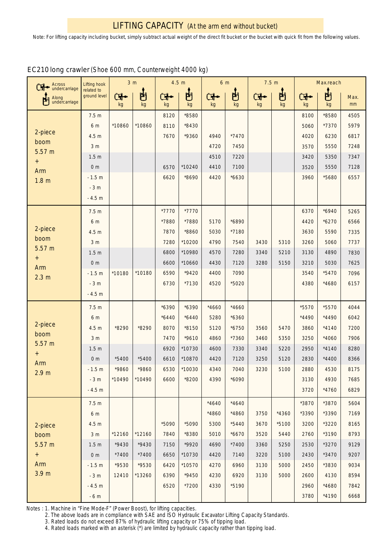| Across<br>undercarriage                                                                  | Lifting hook<br>related to<br>ground level | 3 <sub>m</sub> |         | 4.5 m    |         | 6 <sub>m</sub> |         | 7.5 m    |         | Max.reach            |         |            |
|------------------------------------------------------------------------------------------|--------------------------------------------|----------------|---------|----------|---------|----------------|---------|----------|---------|----------------------|---------|------------|
| Along<br>undercarriage                                                                   |                                            | ما⊡<br>kg      | 甴<br>kg | ▜•<br>kg | 甴<br>kg | ¥∙<br>kg       | 凷<br>kg | Œ.<br>kg | 甴<br>kg | $\blacksquare$<br>kg | 甴<br>kg | Max.<br>mm |
| 2-piece<br>boom<br>5.57 m<br>$\begin{array}{c} + \end{array}$<br>Arm<br>1.8 <sub>m</sub> | 7.5 <sub>m</sub>                           |                |         | 8120     | *8580   |                |         |          |         | 8100                 | *8580   | 4505       |
|                                                                                          | 6 m                                        | *10860         | *10860  | 8110     | *8430   |                |         |          |         | 5060                 | *7370   | 5979       |
|                                                                                          | 4.5 m                                      |                |         | 7670     | *9360   | 4940           | *7470   |          |         | 4020                 | 6230    | 6817       |
|                                                                                          | 3 <sub>m</sub>                             |                |         |          |         | 4720           | 7450    |          |         | 3570                 | 5550    | 7248       |
|                                                                                          | 1.5 <sub>m</sub>                           |                |         |          |         | 4510           | 7220    |          |         | 3420                 | 5350    | 7347       |
|                                                                                          | 0 <sub>m</sub>                             |                |         | 6570     | *10240  | 4410           | 7100    |          |         | 3520                 | 5550    | 7128       |
|                                                                                          | $-1.5 m$                                   |                |         | 6620     | *8690   | 4420           | $*6630$ |          |         | 3960                 | *5680   | 6557       |
|                                                                                          | $-3m$                                      |                |         |          |         |                |         |          |         |                      |         |            |
|                                                                                          | $-4.5 m$                                   |                |         |          |         |                |         |          |         |                      |         |            |
|                                                                                          | 7.5 <sub>m</sub>                           |                |         | *7770    | *7770   |                |         |          |         | 6370                 | $*6940$ | 5265       |
| 2-piece                                                                                  | 6 m                                        |                |         | *7880    | *7880   | 5170           | *6890   |          |         | 4420                 | $*6270$ | 6566       |
| boom                                                                                     | 4.5 m                                      |                |         | 7870     | *8860   | 5030           | *7180   |          |         | 3630                 | 5590    | 7335       |
| 5.57 m                                                                                   | 3 <sub>m</sub>                             |                |         | 7280     | *10200  | 4790           | 7540    | 3430     | 5310    | 3260                 | 5060    | 7737       |
| $\begin{array}{c} + \end{array}$                                                         | 1.5 <sub>m</sub>                           |                |         | 6800     | *10980  | 4570           | 7280    | 3340     | 5210    | 3130                 | 4890    | 7830       |
| Arm                                                                                      | 0 <sub>m</sub>                             |                |         | 6600     | *10660  | 4430           | 7120    | 3280     | 5150    | 3210                 | 5030    | 7625       |
| 2.3 <sub>m</sub>                                                                         | $-1.5 m$                                   | *10180         | *10180  | 6590     | $*9420$ | 4400           | 7090    |          |         | 3540                 | $*5470$ | 7096       |
|                                                                                          | $-3m$                                      |                |         | 6730     | $*7130$ | 4520           | *5020   |          |         | 4380                 | *4680   | 6157       |
|                                                                                          | $-4.5 m$                                   |                |         |          |         |                |         |          |         |                      |         |            |
|                                                                                          | 7.5 <sub>m</sub>                           |                |         | $*6390$  | *6390   | $*4660$        | $*4660$ |          |         | *5570                | *5570   | 4044       |
|                                                                                          | 6 m                                        |                |         | $*6440$  | $*6440$ | 5280           | $*6360$ |          |         | *4490                | *4490   | 6042       |
| 2-piece<br>boom                                                                          | 4.5 m                                      | *8290          | *8290   | 8070     | *8150   | 5120           | $*6750$ | 3560     | 5470    | 3860                 | $*4140$ | 7200       |
| 5.57 m                                                                                   | 3 <sub>m</sub>                             |                |         | 7470     | *9610   | 4860           | *7360   | 3460     | 5350    | 3250                 | *4060   | 7906       |
| $^{+}$                                                                                   | 1.5 <sub>m</sub>                           |                |         | 6920     | *10730  | 4600           | 7330    | 3340     | 5220    | 2950                 | $*4140$ | 8280       |
| Arm                                                                                      | 0 <sub>m</sub>                             | $*5400$        | $*5400$ | 6610     | *10870  | 4420           | 7120    | 3250     | 5120    | 2830                 | $*4400$ | 8366       |
| 2.9 <sub>m</sub>                                                                         | $-1.5 m$                                   | *9860          | *9860   | 6530     | *10030  | 4340           | 7040    | 3230     | 5100    | 2880                 | 4530    | 8175       |
|                                                                                          | $-3m$                                      | *10490         | *10490  | 6600     | *8200   | 4390           | $*6090$ |          |         | 3130                 | 4930    | 7685       |
|                                                                                          | $-4.5 m$                                   |                |         |          |         |                |         |          |         | 3720                 | *4760   | 6829       |
|                                                                                          | 7.5 <sub>m</sub>                           |                |         |          |         | $*4640$        | $*4640$ |          |         | *3870                | *3870   | 5604       |
|                                                                                          | 6 m                                        |                |         |          |         | *4860          | *4860   | 3750     | $*4360$ | *3390                | *3390   | 7169       |
| 2-piece                                                                                  | 4.5 <sub>m</sub>                           |                |         | *5090    | *5090   | 5300           | $*5440$ | 3670     | $*5100$ | 3200                 | *3220   | 8165       |
| boom                                                                                     | 3 <sub>m</sub>                             | *12160         | *12160  | 7840     | *8380   | 5010           | $*6670$ | 3520     | 5440    | 2760                 | *3190   | 8793       |
| 5.57 m                                                                                   | 1.5 <sub>m</sub>                           | *9430          | *9430   | 7150     | *9920   | 4690           | $*7400$ | 3360     | 5250    | 2530                 | *3270   | 9129       |
| $\boldsymbol{+}$                                                                         | 0 <sub>m</sub>                             | *7400          | $*7400$ | 6650     | *10730  | 4420           | 7140    | 3220     | 5100    | 2430                 | $*3470$ | 9207       |
| Arm<br>3.9 <sub>m</sub>                                                                  | $-1.5 m$                                   | *9530          | *9530   | 6420     | *10570  | 4270           | 6960    | 3130     | 5000    | 2450                 | *3830   | 9034       |
|                                                                                          | $-3m$                                      | 12410          | *13260  | 6390     | $*9450$ | 4230           | 6920    | 3130     | 5000    | 2600                 | 4130    | 8594       |
|                                                                                          | $-4.5 m$                                   |                |         | 6520     | *7200   | 4330           | *5190   |          |         | 2960                 | *4680   | 7842       |
|                                                                                          | $-6m$                                      |                |         |          |         |                |         |          |         | 3780                 | $*4190$ | 6668       |

# EC210 long crawler (Shoe 600 mm, Counterweight 4000 kg)

Notes : 1. Machine in "Fine Mode-F" (Power Boost), for lifting capacities.

2. The above loads are in compliance with SAE and ISO Hydraulic Excavator Lifting Capacity Standards.

3. Rated loads do not exceed 87% of hydraulic lifting capacity or 75% of tipping load.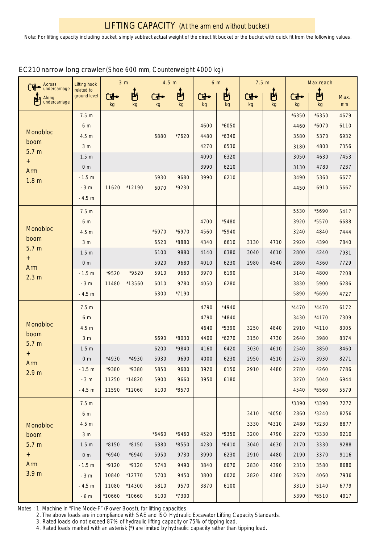## EC210 narrow long crawler (Shoe 600 mm, Counterweight 4000 kg)

| Across<br>undercarriage<br>ъ              | Lifting hook<br>related to<br>ground level | 3 <sub>m</sub> |          | 4.5 m   |         | 6 m     |         | 7.5 m    |         | Max.reach |         |            |
|-------------------------------------------|--------------------------------------------|----------------|----------|---------|---------|---------|---------|----------|---------|-----------|---------|------------|
| Along<br>胡<br>undercarriage               |                                            | ŒŤ<br>kg       | 問<br>kg  | <br>kg  | 問<br>kg | ď<br>kg | 甴<br>kg | ₲₻<br>kg | 問<br>kg | ₲•<br>kg  | 甴<br>kg | Max.<br>mm |
|                                           | 7.5 <sub>m</sub>                           |                |          |         |         |         |         |          |         | $*6350$   | $*6350$ | 4679       |
|                                           | 6 m                                        |                |          |         |         | 4600    | $*6050$ |          |         | 4460      | $*6070$ | 6110       |
| Monobloc                                  | 4.5 <sub>m</sub>                           |                |          | 6880    | *7620   | 4480    | $*6340$ |          |         | 3580      | 5370    | 6932       |
| boom<br>5.7 <sub>m</sub><br>$^{+}$<br>Arm | 3 <sub>m</sub>                             |                |          |         |         | 4270    | 6530    |          |         | 3180      | 4800    | 7356       |
|                                           | 1.5 <sub>m</sub>                           |                |          |         |         | 4090    | 6320    |          |         | 3050      | 4630    | 7453       |
|                                           | 0 <sub>m</sub>                             |                |          |         |         | 3990    | 6210    |          |         | 3130      | 4780    | 7237       |
| 1.8 <sub>m</sub>                          | $-1.5 m$                                   |                |          | 5930    | 9680    | 3990    | 6210    |          |         | 3490      | 5360    | 6677       |
|                                           | $-3m$                                      | 11620          | *12190   | 6070    | *9230   |         |         |          |         | 4450      | 6910    | 5667       |
|                                           | $-4.5 m$                                   |                |          |         |         |         |         |          |         |           |         |            |
|                                           | 7.5 <sub>m</sub>                           |                |          |         |         |         |         |          |         | 5530      | *5690   | 5417       |
| Monobloc                                  | 6 <sub>m</sub>                             |                |          |         |         | 4700    | *5480   |          |         | 3920      | *5570   | 6688       |
| boom                                      | 4.5 m                                      |                |          | $*6970$ | $*6970$ | 4560    | *5940   |          |         | 3240      | 4840    | 7444       |
| 5.7 <sub>m</sub>                          | 3 <sub>m</sub>                             |                |          | 6520    | *8880   | 4340    | 6610    | 3130     | 4710    | 2920      | 4390    | 7840       |
| $^{+}$                                    | 1.5 <sub>m</sub>                           |                |          | 6100    | 9880    | 4140    | 6380    | 3040     | 4610    | 2800      | 4240    | 7931       |
| Arm<br>2.3 <sub>m</sub>                   | 0 <sub>m</sub>                             |                |          | 5920    | 9680    | 4010    | 6230    | 2980     | 4540    | 2860      | 4360    | 7729       |
|                                           | $-1.5 m$                                   | *9520          | *9520    | 5910    | 9660    | 3970    | 6190    |          |         | 3140      | 4800    | 7208       |
|                                           | $-3m$                                      | 11480          | *13560   | 6010    | 9780    | 4050    | 6280    |          |         | 3830      | 5900    | 6286       |
|                                           | $-4.5 m$                                   |                |          | 6300    | *7190   |         |         |          |         | 5890      | *6690   | 4727       |
|                                           | 7.5 <sub>m</sub>                           |                |          |         |         | 4790    | $*4940$ |          |         | $*4470$   | $*4470$ | 6172       |
|                                           | 6 m                                        |                |          |         |         | 4790    | *4840   |          |         | 3430      | $*4170$ | 7309       |
| Monobloc<br>boom                          | 4.5 <sub>m</sub>                           |                |          |         |         | 4640    | *5390   | 3250     | 4840    | 2910      | $*4110$ | 8005       |
| 5.7 <sub>m</sub>                          | 3 <sub>m</sub>                             |                |          | 6690    | *8030   | 4400    | $*6270$ | 3150     | 4730    | 2640      | 3980    | 8374       |
| $^{+}$                                    | 1.5 <sub>m</sub>                           |                |          | 6200    | *9840   | 4160    | 6420    | 3030     | 4610    | 2540      | 3850    | 8460       |
| Arm                                       | 0 <sub>m</sub>                             | *4930          | *4930    | 5930    | 9690    | 4000    | 6230    | 2950     | 4510    | 2570      | 3930    | 8271       |
| 2.9 <sub>m</sub>                          | $-1.5 m$                                   | *9380          | *9380    | 5850    | 9600    | 3920    | 6150    | 2910     | 4480    | 2780      | 4260    | 7786       |
|                                           | $-3m$                                      | 11250          | *14820   | 5900    | 9660    | 3950    | 6180    |          |         | 3270      | 5040    | 6944       |
|                                           | $-4.5 m$                                   | 11590          | *12060   | 6100    | *8570   |         |         |          |         | 4540      | *6560   | 5579       |
|                                           | 7.5 <sub>m</sub>                           |                |          |         |         |         |         |          |         | *3390     | *3390   | 7272       |
|                                           | 6 m                                        |                |          |         |         |         |         | 3410     | *4050   | 2860      | *3240   | 8256       |
| Monobloc                                  | 4.5 <sub>m</sub>                           |                |          |         |         |         |         | 3330     | $*4310$ | 2480      | *3230   | 8877       |
| boom                                      | 3 <sub>m</sub>                             |                |          | $*6460$ | $*6460$ | 4520    | *5350   | 3200     | 4790    | 2270      | *3330   | 9210       |
| 5.7 <sub>m</sub>                          | 1.5 <sub>m</sub>                           | *8150          | $*8150$  | 6380    | *8550   | 4230    | $*6410$ | 3040     | 4630    | 2170      | 3330    | 9288       |
| $+$                                       | 0 <sub>m</sub>                             | $*6940$        | $*6940$  | 5950    | 9730    | 3990    | 6230    | 2910     | 4480    | 2190      | 3370    | 9116       |
| Arm                                       | $-1.5 m$                                   | *9120          | $*9120$  | 5740    | 9490    | 3840    | 6070    | 2830     | 4390    | 2310      | 3580    | 8680       |
| 3.9 <sub>m</sub>                          | $-3m$                                      | 10840          | *12770   | 5700    | 9450    | 3800    | 6020    | 2820     | 4380    | 2620      | 4060    | 7936       |
|                                           | $-4.5 m$                                   | 11080          | $*14300$ | 5810    | 9570    | 3870    | 6100    |          |         | 3310      | 5140    | 6779       |
|                                           | $-6m$                                      | *10660         | *10660   | 6100    | $*7300$ |         |         |          |         | 5390      | $*6510$ | 4917       |

Notes : 1. Machine in "Fine Mode-F" (Power Boost), for lifting capacities.

2. The above loads are in compliance with SAE and ISO Hydraulic Excavator Lifting Capacity Standards.

3. Rated loads do not exceed 87% of hydraulic lifting capacity or 75% of tipping load.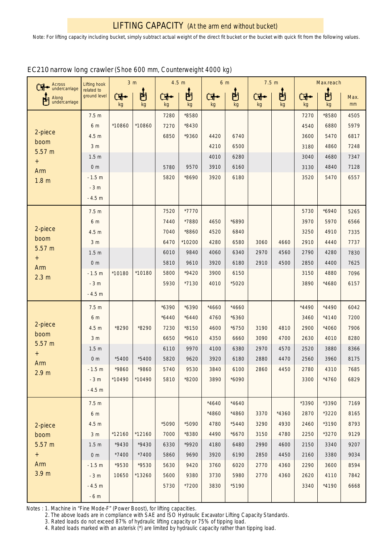| Across<br>undercarriage<br>Œ                   | Lifting hook<br>related to<br>ground level | 3 <sub>m</sub> |          | 4.5 m    |         | 6 <sub>m</sub>       |         | 7.5 m    |         | Max.reach |         |            |
|------------------------------------------------|--------------------------------------------|----------------|----------|----------|---------|----------------------|---------|----------|---------|-----------|---------|------------|
| Along<br>undercarriage                         |                                            | ₲⊷<br>kg       | ப்<br>kg | ₲•<br>kg | 甴<br>kg | $\blacksquare$<br>kg | 甴<br>kg | d-<br>kg | 甴<br>kg | ₲•<br>kg  | 占<br>kg | Max.<br>mm |
| 2-piece<br>boom<br>5.57 m<br>$^{\rm +}$<br>Arm | 7.5 <sub>m</sub>                           |                |          | 7280     | *8580   |                      |         |          |         | 7270      | *8580   | 4505       |
|                                                | 6 m                                        | *10860         | *10860   | 7270     | $*8430$ |                      |         |          |         | 4540      | 6880    | 5979       |
|                                                | 4.5 m                                      |                |          | 6850     | *9360   | 4420                 | 6740    |          |         | 3600      | 5470    | 6817       |
|                                                | 3 <sub>m</sub>                             |                |          |          |         | 4210                 | 6500    |          |         | 3180      | 4860    | 7248       |
|                                                | 1.5 <sub>m</sub>                           |                |          |          |         | 4010                 | 6280    |          |         | 3040      | 4680    | 7347       |
|                                                | 0 <sub>m</sub>                             |                |          | 5780     | 9570    | 3910                 | 6160    |          |         | 3130      | 4840    | 7128       |
| 1.8 <sub>m</sub>                               | $-1.5 m$                                   |                |          | 5820     | *8690   | 3920                 | 6180    |          |         | 3520      | 5470    | 6557       |
|                                                | $-3m$                                      |                |          |          |         |                      |         |          |         |           |         |            |
|                                                | $-4.5 m$                                   |                |          |          |         |                      |         |          |         |           |         |            |
|                                                | 7.5 <sub>m</sub>                           |                |          | 7520     | *7770   |                      |         |          |         | 5730      | $*6940$ | 5265       |
|                                                | 6 m                                        |                |          | 7440     | *7880   | 4650                 | *6890   |          |         | 3970      | 5970    | 6566       |
| 2-piece                                        | 4.5 <sub>m</sub>                           |                |          | 7040     | *8860   | 4520                 | 6840    |          |         | 3250      | 4910    | 7335       |
| boom<br>5.57 m                                 | 3 <sub>m</sub>                             |                |          | 6470     | *10200  | 4280                 | 6580    | 3060     | 4660    | 2910      | 4440    | 7737       |
| $^{\rm +}$<br>Arm<br>2.3 <sub>m</sub>          | 1.5 <sub>m</sub>                           |                |          | 6010     | 9840    | 4060                 | 6340    | 2970     | 4560    | 2790      | 4280    | 7830       |
|                                                | 0 <sub>m</sub>                             |                |          | 5810     | 9610    | 3920                 | 6180    | 2910     | 4500    | 2850      | 4400    | 7625       |
|                                                | $-1.5 m$                                   | *10180         | *10180   | 5800     | $*9420$ | 3900                 | 6150    |          |         | 3150      | 4880    | 7096       |
|                                                | $-3m$                                      |                |          | 5930     | $*7130$ | 4010                 | *5020   |          |         | 3890      | *4680   | 6157       |
|                                                | $-4.5 m$                                   |                |          |          |         |                      |         |          |         |           |         |            |
|                                                | 7.5 <sub>m</sub>                           |                |          | $*6390$  | $*6390$ | *4660                | $*4660$ |          |         | *4490     | *4490   | 6042       |
|                                                | 6 m                                        |                |          | $*6440$  | $*6440$ | 4760                 | $*6360$ |          |         | 3460      | $*4140$ | 7200       |
| 2-piece                                        | 4.5 m                                      | *8290          | *8290    | 7230     | $*8150$ | 4600                 | $*6750$ | 3190     | 4810    | 2900      | $*4060$ | 7906       |
| boom<br>5.57 m                                 | 3 <sub>m</sub>                             |                |          | 6650     | *9610   | 4350                 | 6660    | 3090     | 4700    | 2630      | 4010    | 8280       |
| $\ddot{}$                                      | 1.5 <sub>m</sub>                           |                |          | 6110     | 9970    | 4100                 | 6380    | 2970     | 4570    | 2520      | 3880    | 8366       |
| Arm                                            | 0 <sub>m</sub>                             | *5400          | *5400    | 5820     | 9620    | 3920                 | 6180    | 2880     | 4470    | 2560      | 3960    | 8175       |
| 2.9 <sub>m</sub>                               | $-1.5 m$                                   | *9860          | *9860    | 5740     | 9530    | 3840                 | 6100    | 2860     | 4450    | 2780      | 4310    | 7685       |
|                                                | $-3m$                                      | *10490         | *10490   | 5810     | *8200   | 3890                 | *6090   |          |         | 3300      | *4760   | 6829       |
|                                                | $-4.5 m$                                   |                |          |          |         |                      |         |          |         |           |         |            |
|                                                | 7.5 <sub>m</sub>                           |                |          |          |         | $*4640$              | $*4640$ |          |         | *3390     | *3390   | 7169       |
|                                                | 6 m                                        |                |          |          |         | *4860                | *4860   | 3370     | $*4360$ | 2870      | *3220   | 8165       |
| 2-piece                                        | 4.5 <sub>m</sub>                           |                |          | *5090    | *5090   | 4780                 | $*5440$ | 3290     | 4930    | 2460      | *3190   | 8793       |
| boom                                           | 3 <sub>m</sub>                             | *12160         | *12160   | 7000     | *8380   | 4490                 | $*6670$ | 3150     | 4780    | 2250      | *3270   | 9129       |
| 5.57 m                                         | 1.5 <sub>m</sub>                           | *9430          | $*9430$  | 6330     | *9920   | 4180                 | 6480    | 2990     | 4600    | 2150      | 3340    | 9207       |
| $\boldsymbol{+}$                               | 0 <sub>m</sub>                             | $*7400$        | $*7400$  | 5860     | 9690    | 3920                 | 6190    | 2850     | 4450    | 2160      | 3380    | 9034       |
| Arm                                            | $-1.5 m$                                   | *9530          | *9530    | 5630     | 9420    | 3760                 | 6020    | 2770     | 4360    | 2290      | 3600    | 8594       |
| 3.9 <sub>m</sub>                               | $-3m$                                      | 10650          | *13260   | 5600     | 9380    | 3730                 | 5980    | 2770     | 4360    | 2620      | 4110    | 7842       |
|                                                | $-4.5 m$                                   |                |          | 5730     | *7200   | 3830                 | *5190   |          |         | 3340      | *4190   | 6668       |
|                                                | $-6m$                                      |                |          |          |         |                      |         |          |         |           |         |            |

## EC210 narrow long crawler (Shoe 600 mm, Counterweight 4000 kg)

Notes : 1. Machine in "Fine Mode-F" (Power Boost), for lifting capacities.

2. The above loads are in compliance with SAE and ISO Hydraulic Excavator Lifting Capacity Standards.

3. Rated loads do not exceed 87% of hydraulic lifting capacity or 75% of tipping load.